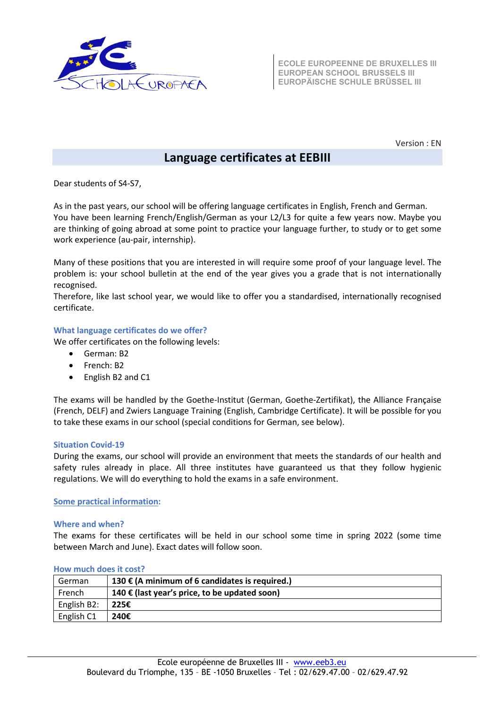

**ECOLE EUROPEENNE DE BRUXELLES III EUROPEAN SCHOOL BRUSSELS III EUROPÄISCHE SCHULE BRÜSSEL III**

Version : EN

# **Language certificates at EEBIII**

Dear students of S4-S7,

As in the past years, our school will be offering language certificates in English, French and German. You have been learning French/English/German as your L2/L3 for quite a few years now. Maybe you are thinking of going abroad at some point to practice your language further, to study or to get some work experience (au-pair, internship).

Many of these positions that you are interested in will require some proof of your language level. The problem is: your school bulletin at the end of the year gives you a grade that is not internationally recognised.

Therefore, like last school year, we would like to offer you a standardised, internationally recognised certificate.

## **What language certificates do we offer?**

We offer certificates on the following levels:

- German: B2
- French: B2
- English B2 and C1

The exams will be handled by the Goethe-Institut (German, Goethe-Zertifikat), the Alliance Française (French, DELF) and Zwiers Language Training (English, Cambridge Certificate). It will be possible for you to take these exams in our school (special conditions for German, see below).

## **Situation Covid-19**

During the exams, our school will provide an environment that meets the standards of our health and safety rules already in place. All three institutes have guaranteed us that they follow hygienic regulations. We will do everything to hold the exams in a safe environment.

**Some practical information:**

### **Where and when?**

The exams for these certificates will be held in our school some time in spring 2022 (some time between March and June). Exact dates will follow soon.

| German      | 130 € (A minimum of 6 candidates is required.) |
|-------------|------------------------------------------------|
| French      | 140 € (last year's price, to be updated soon)  |
| English B2: | 225€                                           |
| English C1  | 240€                                           |

### **How much does it cost?**